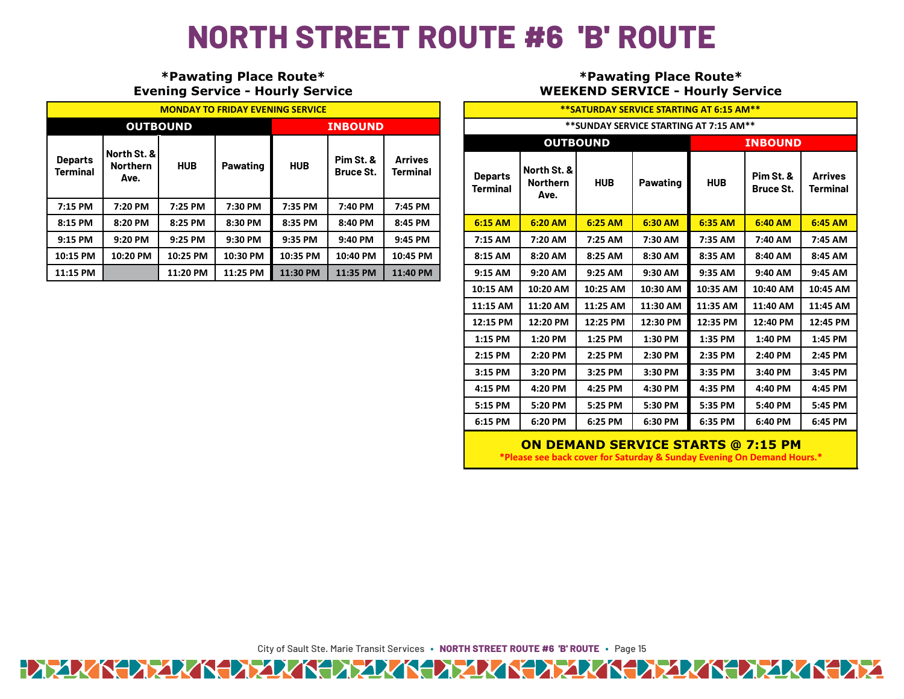## **NORTH STREET ROUTE #6 'B' ROUTE**

## **\*Pawating Place Route\* Evening Service - Hourly Service**

| <b>MONDAY TO FRIDAY EVENING SERVICE</b> |                                        |            |          |                |                               |                                   |  |  |  |
|-----------------------------------------|----------------------------------------|------------|----------|----------------|-------------------------------|-----------------------------------|--|--|--|
| <b>OUTBOUND</b>                         |                                        |            |          | <b>INBOUND</b> |                               |                                   |  |  |  |
| <b>Departs</b><br><b>Terminal</b>       | North St. &<br><b>Northern</b><br>Ave. | <b>HUB</b> | Pawating | <b>HUB</b>     | Pim St. &<br><b>Bruce St.</b> | <b>Arrives</b><br><b>Terminal</b> |  |  |  |
| 7:15 PM                                 | 7:20 PM                                | 7:25 PM    | 7:30 PM  | 7:35 PM        | 7:40 PM                       | 7:45 PM                           |  |  |  |
| 8:15 PM                                 | 8:20 PM                                | 8:25 PM    | 8:30 PM  | 8:35 PM        | 8:40 PM                       | 8:45 PM                           |  |  |  |
| 9:15 PM                                 | 9:20 PM                                | 9:25 PM    | 9:30 PM  | 9:35 PM        | 9:40 PM                       | 9:45 PM                           |  |  |  |
| 10:15 PM                                | 10:20 PM                               | 10:25 PM   | 10:30 PM | 10:35 PM       | 10:40 PM                      | 10:45 PM                          |  |  |  |
| 11:15 PM                                |                                        | 11:20 PM   | 11:25 PM | 11:30 PM       | 11:35 PM                      | 11:40 PM                          |  |  |  |

## **\*Pawating Place Route\* WEEKEND SERVICE - Hourly Service**

| ** SATURDAY SERVICE STARTING AT 6:15 AM** |                                        |            |                 |                |                               |                            |  |  |  |  |
|-------------------------------------------|----------------------------------------|------------|-----------------|----------------|-------------------------------|----------------------------|--|--|--|--|
| ** SUNDAY SERVICE STARTING AT 7:15 AM**   |                                        |            |                 |                |                               |                            |  |  |  |  |
| <b>OUTBOUND</b>                           |                                        |            |                 | <b>INBOUND</b> |                               |                            |  |  |  |  |
| <b>Departs</b><br><b>Terminal</b>         | North St. &<br><b>Northern</b><br>Ave. | <b>HUB</b> | <b>Pawating</b> | <b>HUB</b>     | Pim St. &<br><b>Bruce St.</b> | <b>Arrives</b><br>Terminal |  |  |  |  |
| 6:15 AM                                   | 6:20 AM                                | 6:25 AM    | 6:30 AM         | 6:35 AM        | 6:40 AM                       | 6:45 AM                    |  |  |  |  |
| 7:15 AM                                   | 7:20 AM                                | 7:25 AM    | 7:30 AM         | 7:35 AM        | 7:40 AM                       | 7:45 AM                    |  |  |  |  |
| 8:15 AM                                   | 8:20 AM                                | 8:25 AM    | 8:30 AM         | 8:35 AM        | 8:40 AM                       | 8:45 AM                    |  |  |  |  |
| 9:15 AM                                   | 9:20 AM                                | 9:25 AM    | 9:30 AM         | 9:35 AM        | 9:40 AM                       | 9:45 AM                    |  |  |  |  |
| 10:15 AM                                  | 10:20 AM                               | 10:25 AM   | 10:30 AM        | 10:35 AM       | 10:40 AM                      | 10:45 AM                   |  |  |  |  |
| 11:15 AM                                  | 11:20 AM                               | 11:25 AM   | 11:30 AM        | 11:35 AM       | 11:40 AM                      | 11:45 AM                   |  |  |  |  |
| 12:15 PM                                  | 12:20 PM                               | 12:25 PM   | 12:30 PM        | 12:35 PM       | 12:40 PM                      | 12:45 PM                   |  |  |  |  |
| 1:15 PM                                   | 1:20 PM                                | 1:25 PM    | 1:30 PM         | 1:35 PM        | 1:40 PM                       | 1:45 PM                    |  |  |  |  |
| 2:15 PM                                   | 2:20 PM                                | 2:25 PM    | 2:30 PM         | 2:35 PM        | 2:40 PM                       | 2:45 PM                    |  |  |  |  |
| 3:15 PM                                   | 3:20 PM                                | 3:25 PM    | 3:30 PM         | 3:35 PM        | 3:40 PM                       | 3:45 PM                    |  |  |  |  |
| 4:15 PM                                   | 4:20 PM                                | 4:25 PM    | 4:30 PM         | 4:35 PM        | 4:40 PM                       | 4:45 PM                    |  |  |  |  |
| 5:15 PM                                   | 5:20 PM                                | 5:25 PM    | 5:30 PM         | 5:35 PM        | 5:40 PM                       | 5:45 PM                    |  |  |  |  |
| 6:15 PM                                   | 6:20 PM                                | 6:25 PM    | 6:30 PM         | 6:35 PM        | 6:40 PM                       | 6:45 PM                    |  |  |  |  |

## **ON DEMAND SERVICE STARTS @ 7:15 PM**

**\*Please see back cover for Saturday & Sunday Evening On Demand Hours.\***

City of Sault Ste. Marie Transit Services **∙ NORTH STREET ROUTE #6 'B' ROUTE ∙** Page 15